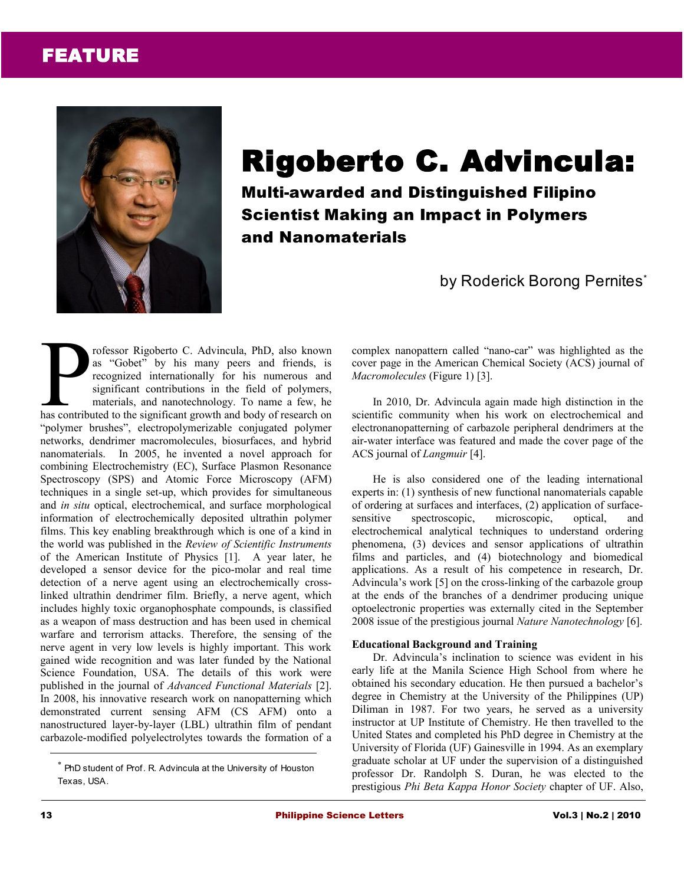# FEATURE



# Rigoberto C. Advincula:

Multi-awarded and Distinguished Filipino Scientist Making an Impact in Polymers and Nanomaterials

by Roderick Borong Pernites<sup>\*</sup>

rofessor Rigoberto C. Advincula, PhD, also known as "Gobet" by his many peers and friends, is recognized internationally for his numerous and significant contributions in the field of polymers, materials, and nanotechnology. To name a few, he rofessor Rigoberto C. Advincula, PhD, also known<br>as "Gobet" by his many peers and friends, is<br>recognized internationally for his numerous and<br>significant contributions in the field of polymers,<br>materials, and nanotechnolog "polymer brushes", electropolymerizable conjugated polymer networks, dendrimer macromolecules, biosurfaces, and hybrid nanomaterials. In 2005, he invented a novel approach for combining Electrochemistry (EC), Surface Plasmon Resonance Spectroscopy (SPS) and Atomic Force Microscopy (AFM) techniques in a single set-up, which provides for simultaneous and *in situ* optical, electrochemical, and surface morphological information of electrochemically deposited ultrathin polymer films. This key enabling breakthrough which is one of a kind in the world was published in the *Review of Scientific Instruments* of the American Institute of Physics [1]. A year later, he developed a sensor device for the pico-molar and real time detection of a nerve agent using an electrochemically crosslinked ultrathin dendrimer film. Briefly, a nerve agent, which includes highly toxic organophosphate compounds, is classified as a weapon of mass destruction and has been used in chemical warfare and terrorism attacks. Therefore, the sensing of the nerve agent in very low levels is highly important. This work gained wide recognition and was later funded by the National Science Foundation, USA. The details of this work were published in the journal of *Advanced Functional Materials* [2]. In 2008, his innovative research work on nanopatterning which demonstrated current sensing AFM (CS AFM) onto a nanostructured layer-by-layer (LBL) ultrathin film of pendant carbazole-modified polyelectrolytes towards the formation of a

complex nanopattern called "nano-car" was highlighted as the cover page in the American Chemical Society (ACS) journal of *Macromolecules* (Figure 1) [3].

In 2010, Dr. Advincula again made high distinction in the scientific community when his work on electrochemical and electronanopatterning of carbazole peripheral dendrimers at the air-water interface was featured and made the cover page of the ACS journal of *Langmuir* [4].

He is also considered one of the leading international experts in: (1) synthesis of new functional nanomaterials capable of ordering at surfaces and interfaces, (2) application of surfacesensitive spectroscopic, microscopic, optical, and electrochemical analytical techniques to understand ordering phenomena, (3) devices and sensor applications of ultrathin films and particles, and (4) biotechnology and biomedical applications. As a result of his competence in research, Dr. Advincula's work [5] on the cross-linking of the carbazole group at the ends of the branches of a dendrimer producing unique optoelectronic properties was externally cited in the September 2008 issue of the prestigious journal *Nature Nanotechnology* [6].

### **Educational Background and Training**

Dr. Advincula's inclination to science was evident in his early life at the Manila Science High School from where he obtained his secondary education. He then pursued a bachelor's degree in Chemistry at the University of the Philippines (UP) Diliman in 1987. For two years, he served as a university instructor at UP Institute of Chemistry. He then travelled to the United States and completed his PhD degree in Chemistry at the University of Florida (UF) Gainesville in 1994. As an exemplary graduate scholar at UF under the supervision of a distinguished professor Dr. Randolph S. Duran, he was elected to the prestigious *Phi Beta Kappa Honor Society* chapter of UF. Also,

<sup>\*</sup> PhD student of Prof. R. Advincula at the University of Houston Texas, USA.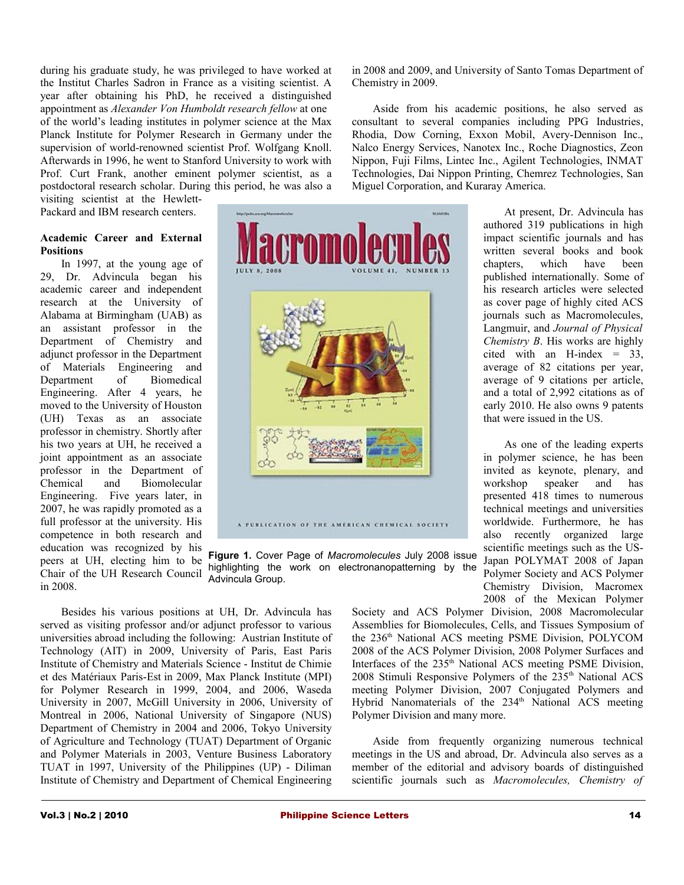during his graduate study, he was privileged to have worked at the Institut Charles Sadron in France as a visiting scientist. A year after obtaining his PhD, he received a distinguished appointment as *Alexander Von Humboldt research fellow* at one of the world's leading institutes in polymer science at the Max Planck Institute for Polymer Research in Germany under the supervision of world-renowned scientist Prof. Wolfgang Knoll. Afterwards in 1996, he went to Stanford University to work with Prof. Curt Frank, another eminent polymer scientist, as a postdoctoral research scholar. During this period, he was also a

visiting scientist at the Hewlett-Packard and IBM research centers.

#### **Academic Career and External Positions**

In 1997, at the young age of 29, Dr. Advincula began his academic career and independent research at the University of Alabama at Birmingham (UAB) as an assistant professor in the Department of Chemistry and adjunct professor in the Department of Materials Engineering and Department of Biomedical Engineering. After 4 years, he moved to the University of Houston (UH) Texas as an associate professor in chemistry. Shortly after his two years at UH, he received a joint appointment as an associate professor in the Department of Chemical and Biomolecular Engineering. Five years later, in 2007, he was rapidly promoted as a full professor at the university. His competence in both research and education was recognized by his peers at UH, electing him to be Chair of the UH Research Council in 2008.

sissima. A PUBLICATION OF THE AMERICAN CHEMICAL SOCIETY

**Figure 1.** Cover Page of *Macromolecules* July 2008 issue highlighting the work on electronanopatterning by the Advincula Group.

Besides his various positions at UH, Dr. Advincula has served as visiting professor and/or adjunct professor to various universities abroad including the following: Austrian Institute of Technology (AIT) in 2009, University of Paris, East Paris Institute of Chemistry and Materials Science - Institut de Chimie et des Matériaux Paris-Est in 2009, Max Planck Institute (MPI) for Polymer Research in 1999, 2004, and 2006, Waseda University in 2007, McGill University in 2006, University of Montreal in 2006, National University of Singapore (NUS) Department of Chemistry in 2004 and 2006, Tokyo University of Agriculture and Technology (TUAT) Department of Organic and Polymer Materials in 2003, Venture Business Laboratory TUAT in 1997, University of the Philippines (UP) - Diliman Institute of Chemistry and Department of Chemical Engineering in 2008 and 2009, and University of Santo Tomas Department of Chemistry in 2009.

Aside from his academic positions, he also served as consultant to several companies including PPG Industries, Rhodia, Dow Corning, Exxon Mobil, Avery-Dennison Inc., Nalco Energy Services, Nanotex Inc., Roche Diagnostics, Zeon Nippon, Fuji Films, Lintec Inc., Agilent Technologies, INMAT Technologies, Dai Nippon Printing, Chemrez Technologies, San Miguel Corporation, and Kuraray America.

> At present, Dr. Advincula has authored 319 publications in high impact scientific journals and has written several books and book chapters, which have been published internationally. Some of his research articles were selected as cover page of highly cited ACS journals such as Macromolecules, Langmuir, and *Journal of Physical Chemistry B*. His works are highly cited with an H-index  $= 33$ , average of 82 citations per year, average of 9 citations per article, and a total of 2,992 citations as of early 2010. He also owns 9 patents that were issued in the US.

> As one of the leading experts in polymer science, he has been invited as keynote, plenary, and workshop speaker and has presented 418 times to numerous technical meetings and universities worldwide. Furthermore, he has also recently organized large scientific meetings such as the US-Japan POLYMAT 2008 of Japan Polymer Society and ACS Polymer Chemistry Division, Macromex 2008 of the Mexican Polymer

Society and ACS Polymer Division, 2008 Macromolecular Assemblies for Biomolecules, Cells, and Tissues Symposium of the 236<sup>th</sup> National ACS meeting PSME Division, POLYCOM 2008 of the ACS Polymer Division, 2008 Polymer Surfaces and Interfaces of the 235<sup>th</sup> National ACS meeting PSME Division, 2008 Stimuli Responsive Polymers of the  $235<sup>th</sup>$  National ACS meeting Polymer Division, 2007 Conjugated Polymers and Hybrid Nanomaterials of the 234<sup>th</sup> National ACS meeting Polymer Division and many more.

Aside from frequently organizing numerous technical meetings in the US and abroad, Dr. Advincula also serves as a member of the editorial and advisory boards of distinguished scientific journals such as *Macromolecules, Chemistry of*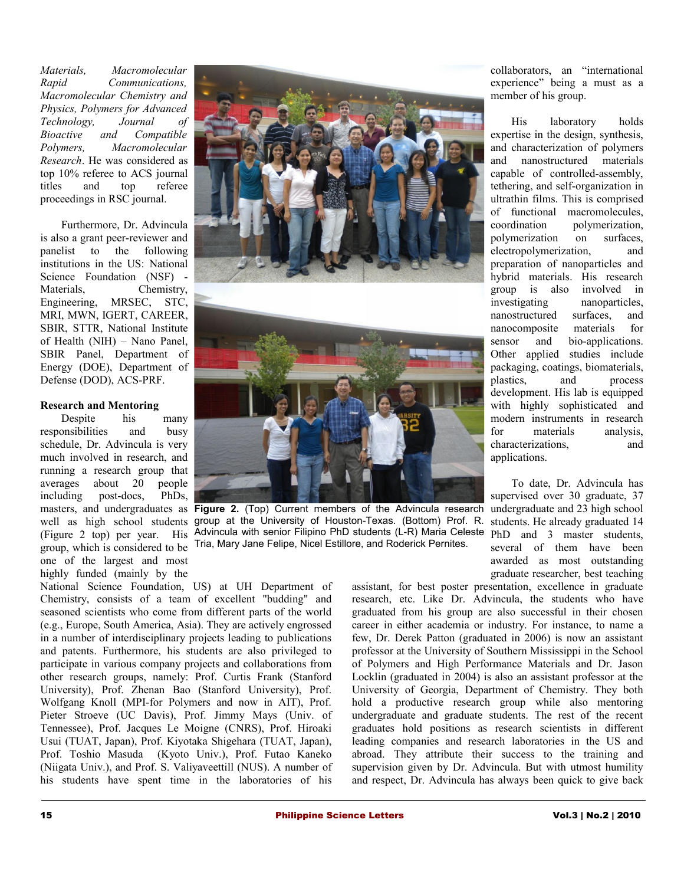*Materials, Macromolecular Rapid Communications, Macromolecular Chemistry and Physics, Polymers for Advanced Technology, Journal of Bioactive and Compatible Polymers, Macromolecular Research*. He was considered as top 10% referee to ACS journal titles and top referee proceedings in RSC journal.

Furthermore, Dr. Advincula is also a grant peer-reviewer and panelist to the following institutions in the US: National Science Foundation (NSF) -Materials, Chemistry, Engineering, MRSEC, STC, MRI, MWN, IGERT, CAREER, SBIR, STTR, National Institute of Health (NIH) – Nano Panel, SBIR Panel, Department of Energy (DOE), Department of Defense (DOD), ACS-PRF.

#### **Research and Mentoring**

Despite his many responsibilities and busy schedule, Dr. Advincula is very much involved in research, and running a research group that averages about 20 people including post-docs, PhDs, group, which is considered to be one of the largest and most highly funded (mainly by the



masters, and undergraduates as **Figure 2.** (Top) Current members of the Advincula research well as high school students group at the University of Houston-Texas. (Bottom) Prof. R. (Figure 2 top) per year. His Advincula with senior Filipino PhD students (L-R) Maria Celeste Tria, Mary Jane Felipe, Nicel Estillore, and Roderick Pernites.

National Science Foundation, US) at UH Department of Chemistry, consists of a team of excellent "budding" and seasoned scientists who come from different parts of the world (e.g., Europe, South America, Asia). They are actively engrossed in a number of interdisciplinary projects leading to publications and patents. Furthermore, his students are also privileged to participate in various company projects and collaborations from other research groups, namely: Prof. Curtis Frank (Stanford University), Prof. Zhenan Bao (Stanford University), Prof. Wolfgang Knoll (MPI-for Polymers and now in AIT), Prof. Pieter Stroeve (UC Davis), Prof. Jimmy Mays (Univ. of Tennessee), Prof. Jacques Le Moigne (CNRS), Prof. Hiroaki Usui (TUAT, Japan), Prof. Kiyotaka Shigehara (TUAT, Japan), Prof. Toshio Masuda (Kyoto Univ.), Prof. Futao Kaneko (Niigata Univ.), and Prof. S. Valiyaveettill (NUS). A number of his students have spent time in the laboratories of his

collaborators, an "international experience" being a must as a member of his group.

His laboratory holds expertise in the design, synthesis, and characterization of polymers and nanostructured materials capable of controlled-assembly, tethering, and self-organization in ultrathin films. This is comprised of functional macromolecules, coordination polymerization. polymerization on surfaces, electropolymerization, and preparation of nanoparticles and hybrid materials. His research group is also involved in investigating nanoparticles, nanostructured surfaces, and nanocomposite materials for sensor and bio-applications. Other applied studies include packaging, coatings, biomaterials, plastics, and process development. His lab is equipped with highly sophisticated and modern instruments in research for materials analysis, characterizations, and applications.

To date, Dr. Advincula has supervised over 30 graduate, 37 undergraduate and 23 high school students. He already graduated 14 PhD and 3 master students, several of them have been awarded as most outstanding graduate researcher, best teaching

assistant, for best poster presentation, excellence in graduate research, etc. Like Dr. Advincula, the students who have graduated from his group are also successful in their chosen career in either academia or industry. For instance, to name a few, Dr. Derek Patton (graduated in 2006) is now an assistant professor at the University of Southern Mississippi in the School of Polymers and High Performance Materials and Dr. Jason Locklin (graduated in 2004) is also an assistant professor at the University of Georgia, Department of Chemistry. They both hold a productive research group while also mentoring undergraduate and graduate students. The rest of the recent graduates hold positions as research scientists in different leading companies and research laboratories in the US and abroad. They attribute their success to the training and supervision given by Dr. Advincula. But with utmost humility and respect, Dr. Advincula has always been quick to give back